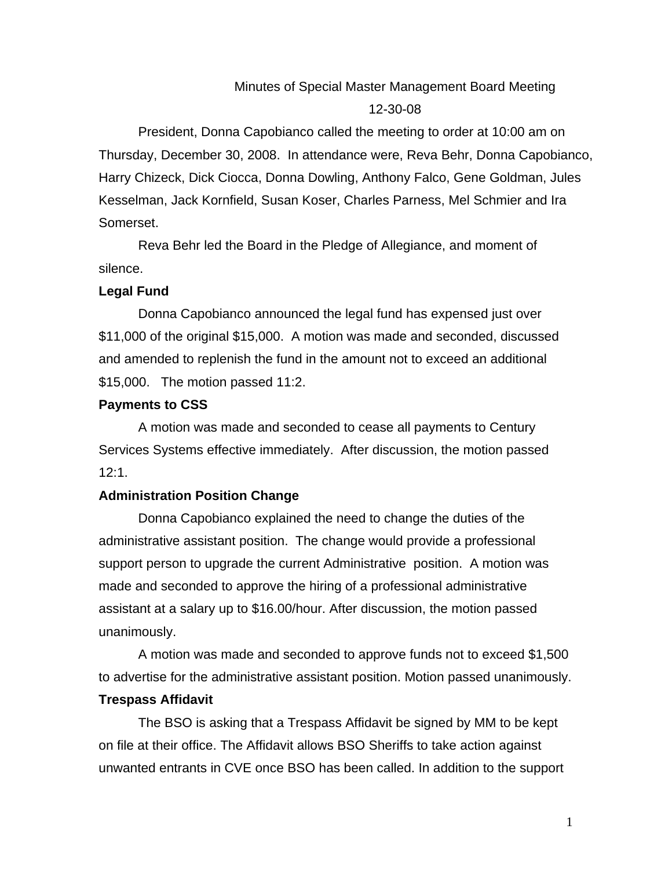# Minutes of Special Master Management Board Meeting 12-30-08

President, Donna Capobianco called the meeting to order at 10:00 am on Thursday, December 30, 2008. In attendance were, Reva Behr, Donna Capobianco, Harry Chizeck, Dick Ciocca, Donna Dowling, Anthony Falco, Gene Goldman, Jules Kesselman, Jack Kornfield, Susan Koser, Charles Parness, Mel Schmier and Ira Somerset.

Reva Behr led the Board in the Pledge of Allegiance, and moment of silence.

## **Legal Fund**

Donna Capobianco announced the legal fund has expensed just over \$11,000 of the original \$15,000. A motion was made and seconded, discussed and amended to replenish the fund in the amount not to exceed an additional \$15,000. The motion passed 11:2.

## **Payments to CSS**

A motion was made and seconded to cease all payments to Century Services Systems effective immediately. After discussion, the motion passed 12:1.

## **Administration Position Change**

Donna Capobianco explained the need to change the duties of the administrative assistant position. The change would provide a professional support person to upgrade the current Administrative position. A motion was made and seconded to approve the hiring of a professional administrative assistant at a salary up to \$16.00/hour. After discussion, the motion passed unanimously.

A motion was made and seconded to approve funds not to exceed \$1,500 to advertise for the administrative assistant position. Motion passed unanimously.

## **Trespass Affidavit**

The BSO is asking that a Trespass Affidavit be signed by MM to be kept on file at their office. The Affidavit allows BSO Sheriffs to take action against unwanted entrants in CVE once BSO has been called. In addition to the support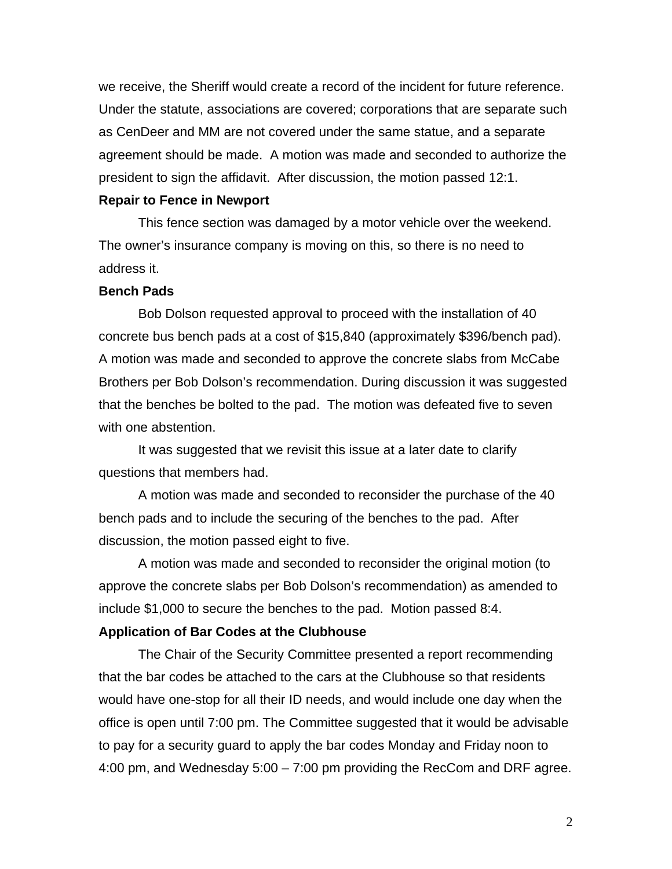we receive, the Sheriff would create a record of the incident for future reference. Under the statute, associations are covered; corporations that are separate such as CenDeer and MM are not covered under the same statue, and a separate agreement should be made. A motion was made and seconded to authorize the president to sign the affidavit. After discussion, the motion passed 12:1.

### **Repair to Fence in Newport**

This fence section was damaged by a motor vehicle over the weekend. The owner's insurance company is moving on this, so there is no need to address it.

## **Bench Pads**

Bob Dolson requested approval to proceed with the installation of 40 concrete bus bench pads at a cost of \$15,840 (approximately \$396/bench pad). A motion was made and seconded to approve the concrete slabs from McCabe Brothers per Bob Dolson's recommendation. During discussion it was suggested that the benches be bolted to the pad. The motion was defeated five to seven with one abstention.

It was suggested that we revisit this issue at a later date to clarify questions that members had.

A motion was made and seconded to reconsider the purchase of the 40 bench pads and to include the securing of the benches to the pad. After discussion, the motion passed eight to five.

A motion was made and seconded to reconsider the original motion (to approve the concrete slabs per Bob Dolson's recommendation) as amended to include \$1,000 to secure the benches to the pad. Motion passed 8:4.

### **Application of Bar Codes at the Clubhouse**

The Chair of the Security Committee presented a report recommending that the bar codes be attached to the cars at the Clubhouse so that residents would have one-stop for all their ID needs, and would include one day when the office is open until 7:00 pm. The Committee suggested that it would be advisable to pay for a security guard to apply the bar codes Monday and Friday noon to 4:00 pm, and Wednesday 5:00 – 7:00 pm providing the RecCom and DRF agree.